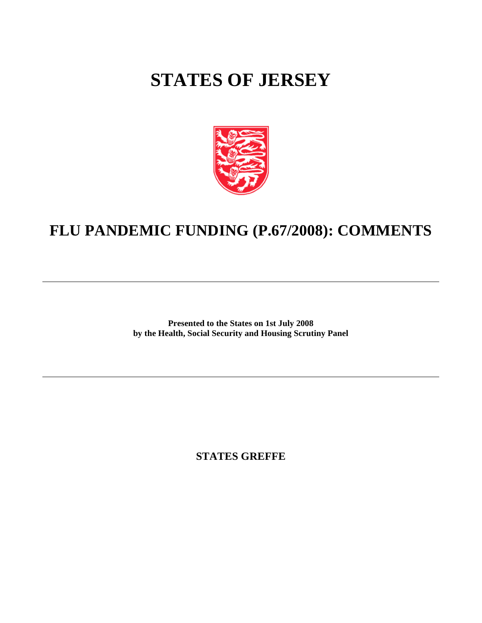## **STATES OF JERSEY**



## **FLU PANDEMIC FUNDING (P.67/2008): COMMENTS**

**Presented to the States on 1st July 2008 by the Health, Social Security and Housing Scrutiny Panel**

**STATES GREFFE**